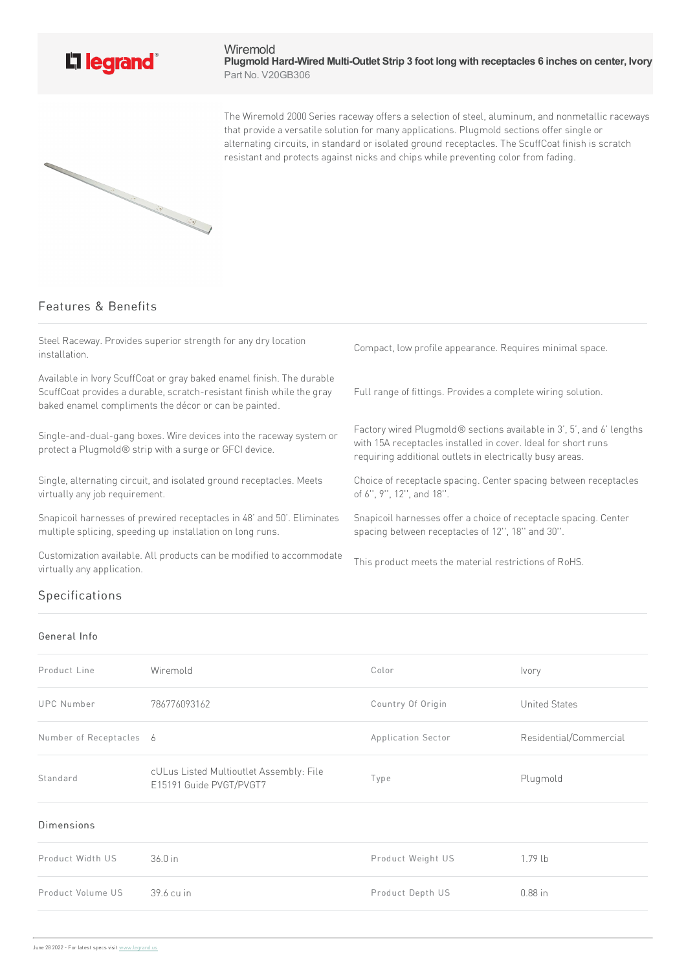

## Wiremold **Plugmold Hard-Wired Multi-Outlet Strip 3 foot long with receptacles 6 inches on center, Ivory** Part No. V20GB306

The Wiremold 2000 Series raceway offers a selection of steel, aluminum, and nonmetallic raceways that provide a versatile solution for many applications. Plugmold sections offer single or alternating circuits, in standard or isolated ground receptacles. The ScuffCoat finish is scratch resistant and protects against nicks and chips while preventing color from fading.



## Features & Benefits

Steel Raceway. Provides superior strength for any dry location installation. Compact, low profile appearance. Requires minimal space. Available in Ivory ScuffCoat or gray baked enamel finish. The durable ScuffCoat provides a durable, scratch-resistant finish while the gray baked enamel compliments the décor or can be painted. Full range of fittings. Provides a complete wiring solution. Single-and-dual-gang boxes. Wire devices into the raceway system or protect a Plugmold® strip with a surge or GFCI device. Factory wired Plugmold® sections available in 3', 5', and 6' lengths with 15A receptacles installed in cover. Ideal for short runs requiring additional outlets in electrically busy areas. Single, alternating circuit, and isolated ground receptacles. Meets virtually any job requirement. Choice of receptacle spacing. Center spacing between receptacles of 6'',9'',12'',and 18''. Snapicoil harnesses of prewired receptacles in 48' and 50'. Eliminates multiple splicing, speeding up installation on long runs. Snapicoil harnesses offer a choice of receptacle spacing. Center spacing between receptacles of 12", 18" and 30". Customization available. All products can be modified to accommodate virtually any application. This product meets the material restrictions of RoHS.

## Specifications

## General Info

| Product Line            | Wiremold                                                           | Color              | Ivory                  |
|-------------------------|--------------------------------------------------------------------|--------------------|------------------------|
| <b>UPC Number</b>       | 786776093162                                                       | Country Of Origin  | <b>United States</b>   |
| Number of Receptacles 6 |                                                                    | Application Sector | Residential/Commercial |
| Standard                | cULus Listed Multioutlet Assembly: File<br>E15191 Guide PVGT/PVGT7 | Type               | Plugmold               |
| Dimensions              |                                                                    |                    |                        |
| Product Width US        | 36.0 in                                                            | Product Weight US  | 1.79 lb                |
| Product Volume US       | 39.6 cu in                                                         | Product Depth US   | $0.88$ in              |
|                         |                                                                    |                    |                        |